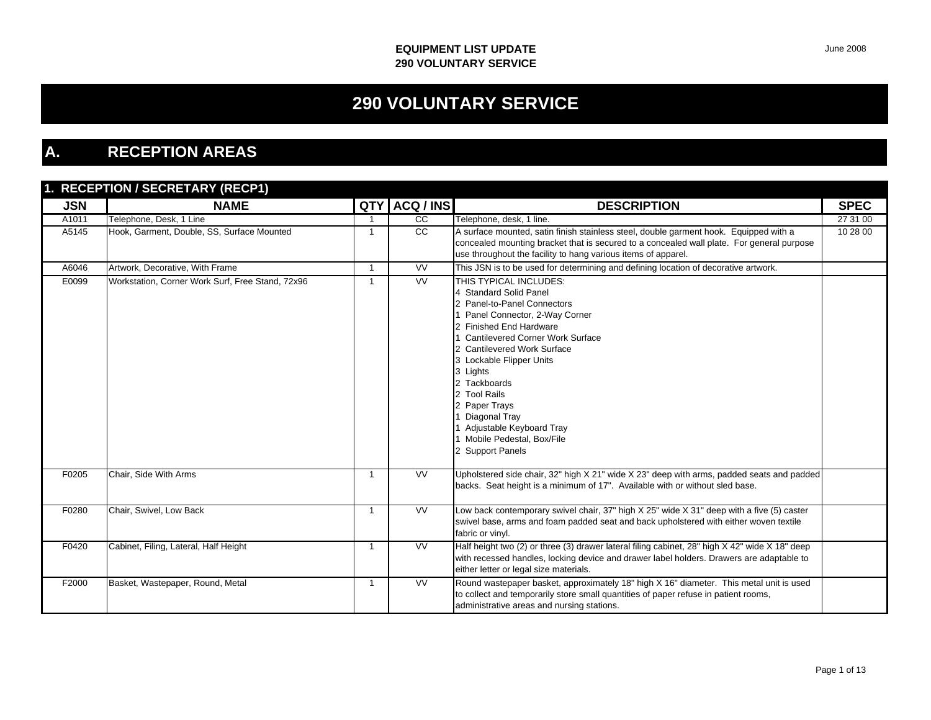## **290 VOLUNTARY SERVICE**

### **A. RECEPTION AREAS**

### **1. RECEPTION / SECRETARY (RECP1)**

| <b>JSN</b> | <b>NAME</b>                                      |                      | QTY ACQ / INS   | <b>DESCRIPTION</b>                                                                                                                                                                                                                                                                                                                                                                                              | <b>SPEC</b> |
|------------|--------------------------------------------------|----------------------|-----------------|-----------------------------------------------------------------------------------------------------------------------------------------------------------------------------------------------------------------------------------------------------------------------------------------------------------------------------------------------------------------------------------------------------------------|-------------|
| A1011      | Telephone, Desk, 1 Line                          |                      | $\overline{cc}$ | Telephone, desk, 1 line.                                                                                                                                                                                                                                                                                                                                                                                        | 27 31 00    |
| A5145      | Hook, Garment, Double, SS, Surface Mounted       |                      | cc              | A surface mounted, satin finish stainless steel, double garment hook. Equipped with a<br>concealed mounting bracket that is secured to a concealed wall plate. For general purpose<br>use throughout the facility to hang various items of apparel.                                                                                                                                                             | 10 28 00    |
| A6046      | Artwork, Decorative, With Frame                  | $\blacktriangleleft$ | W               | This JSN is to be used for determining and defining location of decorative artwork.                                                                                                                                                                                                                                                                                                                             |             |
| E0099      | Workstation, Corner Work Surf, Free Stand, 72x96 |                      | <b>VV</b>       | THIS TYPICAL INCLUDES:<br>4 Standard Solid Panel<br>Panel-to-Panel Connectors<br>Panel Connector, 2-Way Corner<br><b>Finished End Hardware</b><br><b>Cantilevered Corner Work Surface</b><br>2 Cantilevered Work Surface<br>3 Lockable Flipper Units<br>3 Lights<br>2 Tackboards<br>2 Tool Rails<br>2 Paper Trays<br>Diagonal Tray<br>Adjustable Keyboard Tray<br>Mobile Pedestal, Box/File<br>2 Support Panels |             |
| F0205      | Chair, Side With Arms                            |                      | VV              | Upholstered side chair, 32" high X 21" wide X 23" deep with arms, padded seats and padded<br>backs. Seat height is a minimum of 17". Available with or without sled base.                                                                                                                                                                                                                                       |             |
| F0280      | Chair, Swivel, Low Back                          |                      | W               | Low back contemporary swivel chair, 37" high X 25" wide X 31" deep with a five (5) caster<br>swivel base, arms and foam padded seat and back upholstered with either woven textile<br>fabric or vinyl.                                                                                                                                                                                                          |             |
| F0420      | Cabinet, Filing, Lateral, Half Height            |                      | <b>VV</b>       | Half height two (2) or three (3) drawer lateral filing cabinet, 28" high X 42" wide X 18" deep<br>with recessed handles, locking device and drawer label holders. Drawers are adaptable to<br>either letter or legal size materials.                                                                                                                                                                            |             |
| F2000      | Basket, Wastepaper, Round, Metal                 | $\mathbf{1}$         | <b>VV</b>       | Round wastepaper basket, approximately 18" high X 16" diameter. This metal unit is used<br>to collect and temporarily store small quantities of paper refuse in patient rooms,<br>administrative areas and nursing stations.                                                                                                                                                                                    |             |

June 2008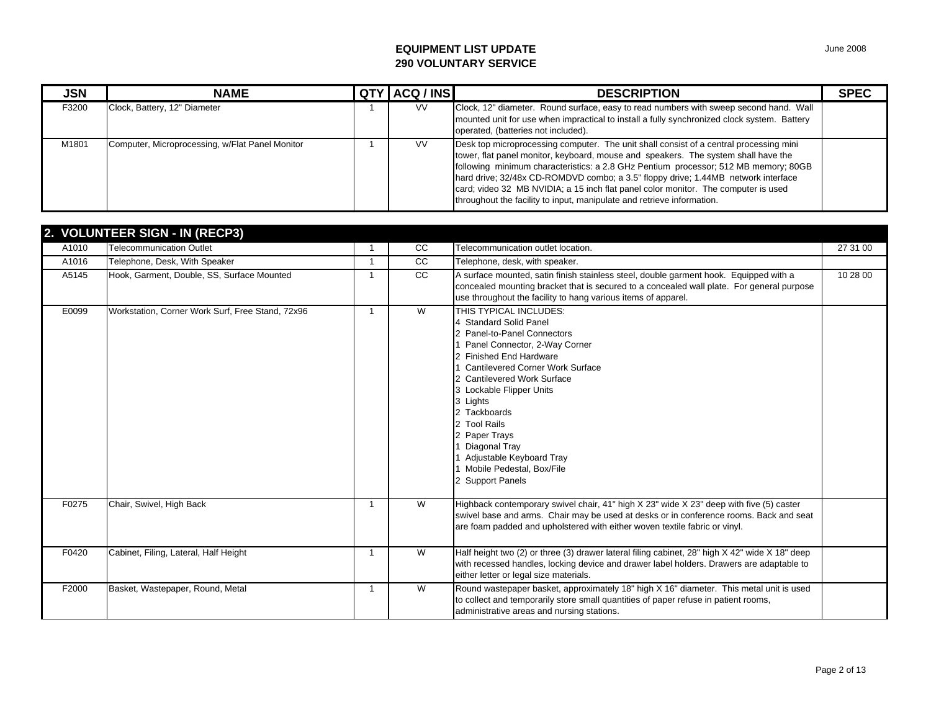| <b>JSN</b> | <b>NAME</b>                                     | QTY ACQ / INS | <b>DESCRIPTION</b>                                                                                                                                                                                                                                                                                                                                                                                                                                                                                                       | <b>SPEC</b> |
|------------|-------------------------------------------------|---------------|--------------------------------------------------------------------------------------------------------------------------------------------------------------------------------------------------------------------------------------------------------------------------------------------------------------------------------------------------------------------------------------------------------------------------------------------------------------------------------------------------------------------------|-------------|
| F3200      | Clock, Battery, 12" Diameter                    | <b>VV</b>     | Clock, 12" diameter. Round surface, easy to read numbers with sweep second hand. Wall<br>mounted unit for use when impractical to install a fully synchronized clock system. Battery<br>operated, (batteries not included).                                                                                                                                                                                                                                                                                              |             |
| M1801      | Computer, Microprocessing, w/Flat Panel Monitor | <b>VV</b>     | Desk top microprocessing computer. The unit shall consist of a central processing mini<br>tower, flat panel monitor, keyboard, mouse and speakers. The system shall have the<br>following minimum characteristics: a 2.8 GHz Pentium processor; 512 MB memory; 80GB<br>hard drive: 32/48x CD-ROMDVD combo; a 3.5" floppy drive; 1.44MB network interface<br>card; video 32 MB NVIDIA; a 15 inch flat panel color monitor. The computer is used<br>throughout the facility to input, manipulate and retrieve information. |             |

### **2. VOLUNTEER SIGN - IN (RECP3)**

|       | <b>2. VOLUNTLER SIGN - IN (RECFS)</b>            |                      |                 |                                                                                                                                                                                                                                                                                                                                                                                                       |          |
|-------|--------------------------------------------------|----------------------|-----------------|-------------------------------------------------------------------------------------------------------------------------------------------------------------------------------------------------------------------------------------------------------------------------------------------------------------------------------------------------------------------------------------------------------|----------|
| A1010 | <b>Telecommunication Outlet</b>                  |                      | CC              | Telecommunication outlet location.                                                                                                                                                                                                                                                                                                                                                                    | 27 31 00 |
| A1016 | Telephone, Desk, With Speaker                    |                      | cc              | Telephone, desk, with speaker.                                                                                                                                                                                                                                                                                                                                                                        |          |
| A5145 | Hook, Garment, Double, SS, Surface Mounted       |                      | $\overline{cc}$ | A surface mounted, satin finish stainless steel, double garment hook. Equipped with a<br>concealed mounting bracket that is secured to a concealed wall plate. For general purpose<br>use throughout the facility to hang various items of apparel.                                                                                                                                                   | 10 28 00 |
| E0099 | Workstation, Corner Work Surf, Free Stand, 72x96 |                      | W               | THIS TYPICAL INCLUDES:<br>4 Standard Solid Panel<br>2 Panel-to-Panel Connectors<br>Panel Connector, 2-Way Corner<br>2 Finished End Hardware<br>Cantilevered Corner Work Surface<br>2 Cantilevered Work Surface<br>3 Lockable Flipper Units<br>3 Lights<br>2 Tackboards<br>2 Tool Rails<br>2 Paper Trays<br>Diagonal Tray<br>Adjustable Keyboard Tray<br>Mobile Pedestal, Box/File<br>2 Support Panels |          |
| F0275 | Chair, Swivel, High Back                         | -1                   | W               | Highback contemporary swivel chair, 41" high X 23" wide X 23" deep with five (5) caster<br>swivel base and arms. Chair may be used at desks or in conference rooms. Back and seat<br>are foam padded and upholstered with either woven textile fabric or vinyl.                                                                                                                                       |          |
| F0420 | Cabinet, Filing, Lateral, Half Height            | -1                   | W               | Half height two (2) or three (3) drawer lateral filing cabinet, 28" high X 42" wide X 18" deep<br>with recessed handles, locking device and drawer label holders. Drawers are adaptable to<br>either letter or legal size materials.                                                                                                                                                                  |          |
| F2000 | Basket, Wastepaper, Round, Metal                 | $\blacktriangleleft$ | $\overline{W}$  | Round wastepaper basket, approximately 18" high X 16" diameter. This metal unit is used<br>to collect and temporarily store small quantities of paper refuse in patient rooms,<br>administrative areas and nursing stations.                                                                                                                                                                          |          |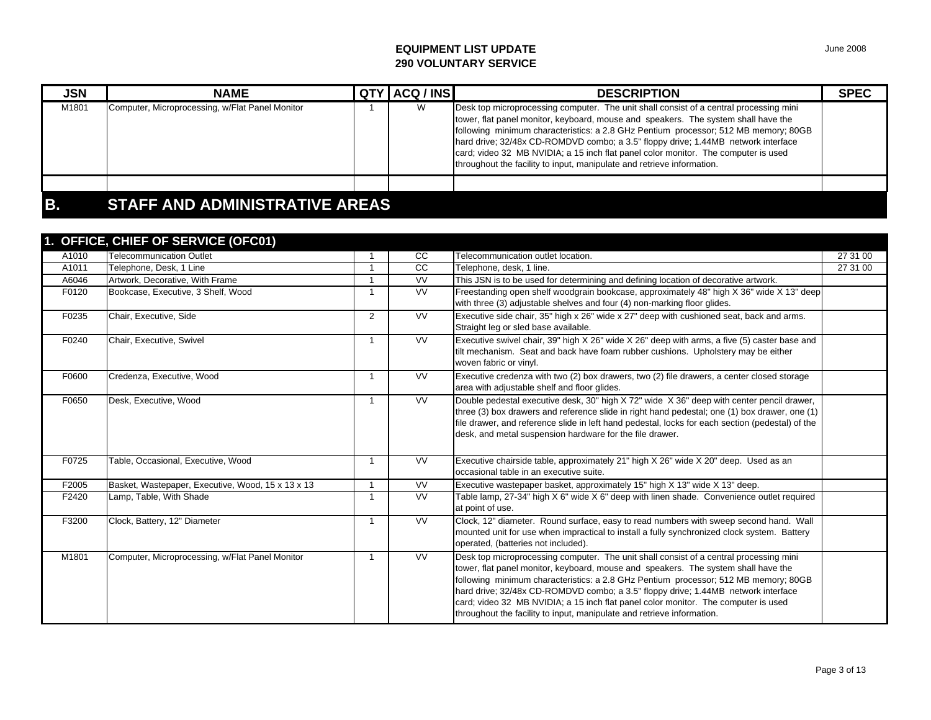| <b>JSN</b> | <b>NAME</b>                                     |  | QTY ACQ / INS | <b>DESCRIPTION</b>                                                                                                                                                                                                                                                                                                                                                                                                                                                                                                       | <b>SPEC</b> |  |  |
|------------|-------------------------------------------------|--|---------------|--------------------------------------------------------------------------------------------------------------------------------------------------------------------------------------------------------------------------------------------------------------------------------------------------------------------------------------------------------------------------------------------------------------------------------------------------------------------------------------------------------------------------|-------------|--|--|
| M1801      | Computer, Microprocessing, w/Flat Panel Monitor |  | w             | Desk top microprocessing computer. The unit shall consist of a central processing mini<br>tower, flat panel monitor, keyboard, mouse and speakers. The system shall have the<br>following minimum characteristics: a 2.8 GHz Pentium processor; 512 MB memory; 80GB<br>hard drive; 32/48x CD-ROMDVD combo; a 3.5" floppy drive; 1.44MB network interface<br>card; video 32 MB NVIDIA; a 15 inch flat panel color monitor. The computer is used<br>throughout the facility to input, manipulate and retrieve information. |             |  |  |
|            |                                                 |  |               |                                                                                                                                                                                                                                                                                                                                                                                                                                                                                                                          |             |  |  |
| IB.        | <b>STAFF AND ADMINISTRATIVE AREAS</b>           |  |               |                                                                                                                                                                                                                                                                                                                                                                                                                                                                                                                          |             |  |  |

|       | 1. OFFICE, CHIEF OF SERVICE (OFC01)               |   |                        |                                                                                                                                                                                                                                                                                                                                                                                                                                                                                                                          |          |
|-------|---------------------------------------------------|---|------------------------|--------------------------------------------------------------------------------------------------------------------------------------------------------------------------------------------------------------------------------------------------------------------------------------------------------------------------------------------------------------------------------------------------------------------------------------------------------------------------------------------------------------------------|----------|
| A1010 | <b>Telecommunication Outlet</b>                   |   | <b>CC</b>              | Telecommunication outlet location.                                                                                                                                                                                                                                                                                                                                                                                                                                                                                       | 27 31 00 |
| A1011 | Telephone, Desk, 1 Line                           |   | $\overline{cc}$        | Telephone, desk, 1 line.                                                                                                                                                                                                                                                                                                                                                                                                                                                                                                 | 27 31 00 |
| A6046 | Artwork, Decorative, With Frame                   |   | $\overline{\text{VV}}$ | This JSN is to be used for determining and defining location of decorative artwork.                                                                                                                                                                                                                                                                                                                                                                                                                                      |          |
| F0120 | Bookcase, Executive, 3 Shelf, Wood                |   | <b>VV</b>              | Freestanding open shelf woodgrain bookcase, approximately 48" high X 36" wide X 13" deep<br>with three (3) adjustable shelves and four (4) non-marking floor glides.                                                                                                                                                                                                                                                                                                                                                     |          |
| F0235 | Chair, Executive, Side                            | 2 | $\overline{\text{VV}}$ | Executive side chair, 35" high x 26" wide x 27" deep with cushioned seat, back and arms.<br>Straight leg or sled base available.                                                                                                                                                                                                                                                                                                                                                                                         |          |
| F0240 | Chair, Executive, Swivel                          |   | <b>VV</b>              | Executive swivel chair, 39" high X 26" wide X 26" deep with arms, a five (5) caster base and<br>tilt mechanism. Seat and back have foam rubber cushions. Upholstery may be either<br>woven fabric or vinyl.                                                                                                                                                                                                                                                                                                              |          |
| F0600 | Credenza, Executive, Wood                         |   | <b>VV</b>              | Executive credenza with two (2) box drawers, two (2) file drawers, a center closed storage<br>area with adjustable shelf and floor glides.                                                                                                                                                                                                                                                                                                                                                                               |          |
| F0650 | Desk, Executive, Wood                             |   | <b>VV</b>              | Double pedestal executive desk, 30" high X 72" wide X 36" deep with center pencil drawer,<br>three (3) box drawers and reference slide in right hand pedestal; one (1) box drawer, one (1)<br>file drawer, and reference slide in left hand pedestal, locks for each section (pedestal) of the<br>desk, and metal suspension hardware for the file drawer.                                                                                                                                                               |          |
| F0725 | Table, Occasional, Executive, Wood                |   | <b>VV</b>              | Executive chairside table, approximately 21" high X 26" wide X 20" deep. Used as an<br>occasional table in an executive suite.                                                                                                                                                                                                                                                                                                                                                                                           |          |
| F2005 | Basket, Wastepaper, Executive, Wood, 15 x 13 x 13 |   | <b>VV</b>              | Executive wastepaper basket, approximately 15" high X 13" wide X 13" deep.                                                                                                                                                                                                                                                                                                                                                                                                                                               |          |
| F2420 | Lamp, Table, With Shade                           |   | <b>VV</b>              | Table lamp, 27-34" high $X 6$ " wide $X 6$ " deep with linen shade. Convenience outlet required<br>at point of use.                                                                                                                                                                                                                                                                                                                                                                                                      |          |
| F3200 | Clock, Battery, 12" Diameter                      |   | <b>VV</b>              | Clock, 12" diameter. Round surface, easy to read numbers with sweep second hand. Wall<br>mounted unit for use when impractical to install a fully synchronized clock system. Battery<br>operated, (batteries not included).                                                                                                                                                                                                                                                                                              |          |
| M1801 | Computer, Microprocessing, w/Flat Panel Monitor   |   | <b>VV</b>              | Desk top microprocessing computer. The unit shall consist of a central processing mini<br>tower, flat panel monitor, keyboard, mouse and speakers. The system shall have the<br>following minimum characteristics: a 2.8 GHz Pentium processor; 512 MB memory; 80GB<br>hard drive; 32/48x CD-ROMDVD combo; a 3.5" floppy drive; 1.44MB network interface<br>card; video 32 MB NVIDIA; a 15 inch flat panel color monitor. The computer is used<br>throughout the facility to input, manipulate and retrieve information. |          |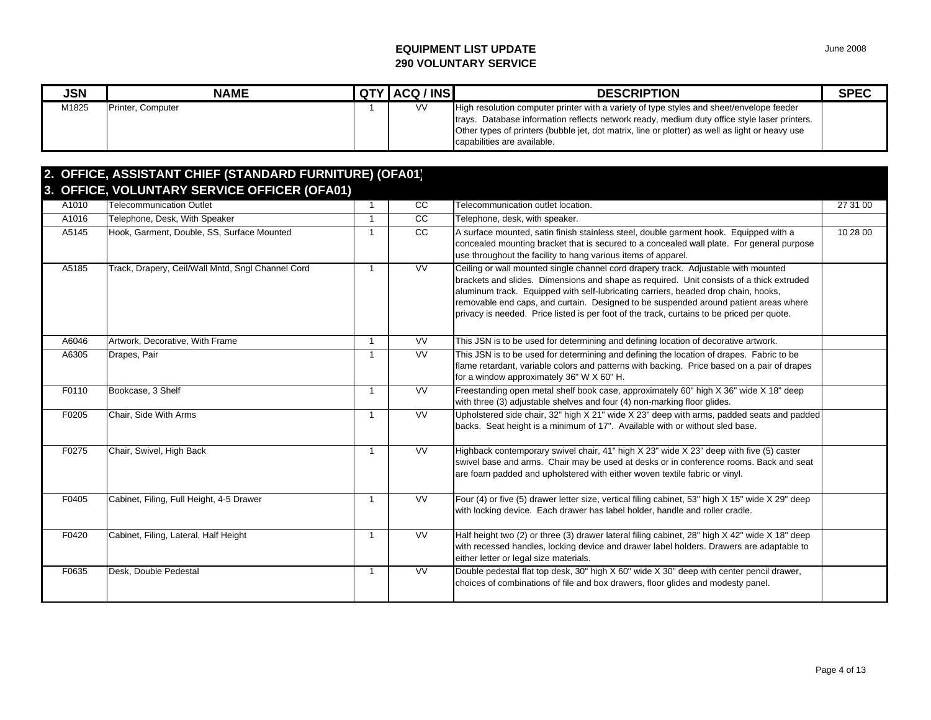| <b>JSN</b> | <b>NAME</b>       | <b>QTY ACQ / INS</b> | <b>DESCRIPTION</b>                                                                                                                                                                                                                                                                                                          | <b>SPEC</b> |
|------------|-------------------|----------------------|-----------------------------------------------------------------------------------------------------------------------------------------------------------------------------------------------------------------------------------------------------------------------------------------------------------------------------|-------------|
| M1825      | Printer, Computer | <b>VV</b>            | High resolution computer printer with a variety of type styles and sheet/envelope feeder<br>Itrays. Database information reflects network ready, medium duty office style laser printers.<br>Other types of printers (bubble jet, dot matrix, line or plotter) as well as light or heavy use<br>capabilities are available. |             |

|       | 2. OFFICE, ASSISTANT CHIEF (STANDARD FURNITURE) (OFA01) |                |                         |                                                                                                                                                                                                                                                                                                                                                                                                                                                            |          |
|-------|---------------------------------------------------------|----------------|-------------------------|------------------------------------------------------------------------------------------------------------------------------------------------------------------------------------------------------------------------------------------------------------------------------------------------------------------------------------------------------------------------------------------------------------------------------------------------------------|----------|
|       | 3. OFFICE, VOLUNTARY SERVICE OFFICER (OFA01)            |                |                         |                                                                                                                                                                                                                                                                                                                                                                                                                                                            |          |
| A1010 | <b>Telecommunication Outlet</b>                         | $\overline{1}$ | CC                      | Telecommunication outlet location.                                                                                                                                                                                                                                                                                                                                                                                                                         | 27 31 00 |
| A1016 | Telephone, Desk, With Speaker                           | $\mathbf{1}$   | CC                      | Telephone, desk, with speaker.                                                                                                                                                                                                                                                                                                                                                                                                                             |          |
| A5145 | Hook, Garment, Double, SS, Surface Mounted              | $\overline{1}$ | CC                      | A surface mounted, satin finish stainless steel, double garment hook. Equipped with a<br>concealed mounting bracket that is secured to a concealed wall plate. For general purpose<br>use throughout the facility to hang various items of apparel.                                                                                                                                                                                                        | 10 28 00 |
| A5185 | Track, Drapery, Ceil/Wall Mntd, Sngl Channel Cord       | $\overline{1}$ | <b>VV</b>               | Ceiling or wall mounted single channel cord drapery track. Adjustable with mounted<br>brackets and slides. Dimensions and shape as required. Unit consists of a thick extruded<br>aluminum track. Equipped with self-lubricating carriers, beaded drop chain, hooks,<br>removable end caps, and curtain. Designed to be suspended around patient areas where<br>privacy is needed. Price listed is per foot of the track, curtains to be priced per quote. |          |
| A6046 | Artwork, Decorative, With Frame                         | $\overline{1}$ | <b>VV</b>               | This JSN is to be used for determining and defining location of decorative artwork.                                                                                                                                                                                                                                                                                                                                                                        |          |
| A6305 | Drapes, Pair                                            | $\mathbf 1$    | <b>VV</b>               | This JSN is to be used for determining and defining the location of drapes. Fabric to be<br>flame retardant, variable colors and patterns with backing. Price based on a pair of drapes<br>for a window approximately 36" W X 60" H.                                                                                                                                                                                                                       |          |
| F0110 | Bookcase, 3 Shelf                                       | $\overline{1}$ | <b>VV</b>               | Freestanding open metal shelf book case, approximately 60" high X 36" wide X 18" deep<br>with three (3) adjustable shelves and four (4) non-marking floor glides.                                                                                                                                                                                                                                                                                          |          |
| F0205 | Chair, Side With Arms                                   | $\overline{1}$ | $\overline{\mathsf{V}}$ | Upholstered side chair, 32" high X 21" wide X 23" deep with arms, padded seats and padded<br>backs. Seat height is a minimum of 17". Available with or without sled base.                                                                                                                                                                                                                                                                                  |          |
| F0275 | Chair, Swivel, High Back                                | $\overline{1}$ | $\overline{\mathsf{V}}$ | Highback contemporary swivel chair, 41" high X 23" wide X 23" deep with five (5) caster<br>swivel base and arms. Chair may be used at desks or in conference rooms. Back and seat<br>are foam padded and upholstered with either woven textile fabric or vinyl.                                                                                                                                                                                            |          |
| F0405 | Cabinet, Filing, Full Height, 4-5 Drawer                | -1             | <b>VV</b>               | Four (4) or five (5) drawer letter size, vertical filing cabinet, 53" high X 15" wide X 29" deep<br>with locking device. Each drawer has label holder, handle and roller cradle.                                                                                                                                                                                                                                                                           |          |
| F0420 | Cabinet, Filing, Lateral, Half Height                   | $\mathbf{1}$   | <b>VV</b>               | Half height two (2) or three (3) drawer lateral filing cabinet, 28" high X 42" wide X 18" deep<br>with recessed handles, locking device and drawer label holders. Drawers are adaptable to<br>either letter or legal size materials.                                                                                                                                                                                                                       |          |
| F0635 | Desk, Double Pedestal                                   | $\overline{1}$ | <b>VV</b>               | Double pedestal flat top desk, 30" high X 60" wide X 30" deep with center pencil drawer,<br>choices of combinations of file and box drawers, floor glides and modesty panel.                                                                                                                                                                                                                                                                               |          |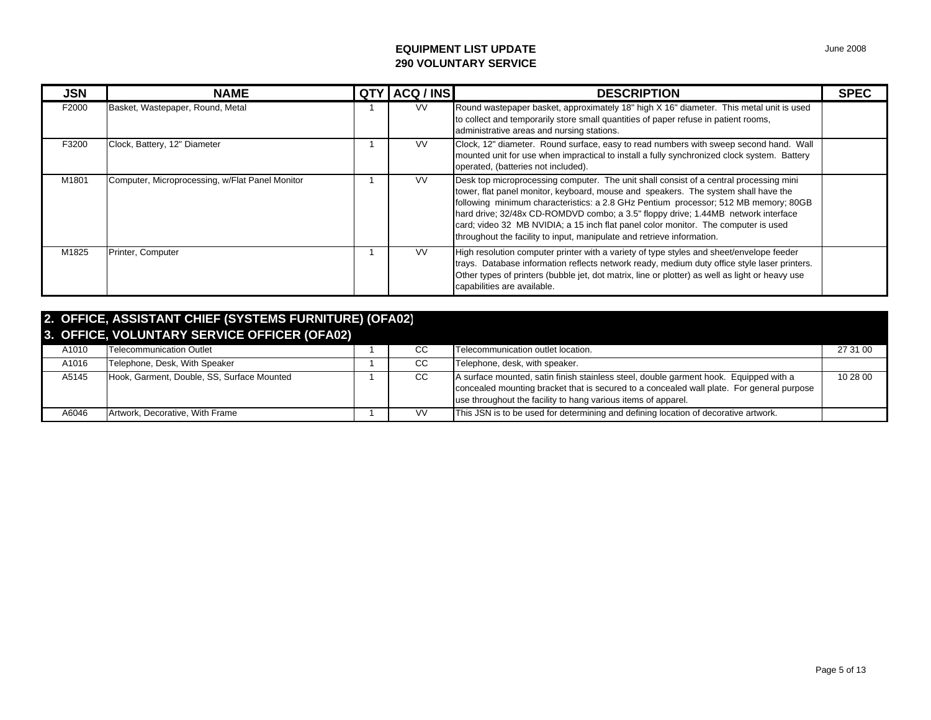| <b>JSN</b> | <b>NAME</b>                                     | QT) | ACQ / INS | <b>DESCRIPTION</b>                                                                                                                                                                                                                                                                                                                                                                                                                                                                                                       | <b>SPEC</b> |
|------------|-------------------------------------------------|-----|-----------|--------------------------------------------------------------------------------------------------------------------------------------------------------------------------------------------------------------------------------------------------------------------------------------------------------------------------------------------------------------------------------------------------------------------------------------------------------------------------------------------------------------------------|-------------|
| F2000      | Basket, Wastepaper, Round, Metal                |     | VV.       | Round wastepaper basket, approximately 18" high X 16" diameter. This metal unit is used<br>to collect and temporarily store small quantities of paper refuse in patient rooms,<br>administrative areas and nursing stations.                                                                                                                                                                                                                                                                                             |             |
| F3200      | Clock, Battery, 12" Diameter                    |     | <b>VV</b> | Clock, 12" diameter. Round surface, easy to read numbers with sweep second hand. Wall<br>mounted unit for use when impractical to install a fully synchronized clock system. Battery<br>operated, (batteries not included).                                                                                                                                                                                                                                                                                              |             |
| M1801      | Computer, Microprocessing, w/Flat Panel Monitor |     | VV.       | Desk top microprocessing computer. The unit shall consist of a central processing mini<br>tower, flat panel monitor, keyboard, mouse and speakers. The system shall have the<br>following minimum characteristics: a 2.8 GHz Pentium processor; 512 MB memory; 80GB<br>hard drive; 32/48x CD-ROMDVD combo; a 3.5" floppy drive; 1.44MB network interface<br>card; video 32 MB NVIDIA; a 15 inch flat panel color monitor. The computer is used<br>throughout the facility to input, manipulate and retrieve information. |             |
| M1825      | Printer, Computer                               |     | <b>VV</b> | High resolution computer printer with a variety of type styles and sheet/envelope feeder<br>trays. Database information reflects network ready, medium duty office style laser printers.<br>Other types of printers (bubble jet, dot matrix, line or plotter) as well as light or heavy use<br>capabilities are available.                                                                                                                                                                                               |             |

| 2. OFFICE, ASSISTANT CHIEF (SYSTEMS FURNITURE) (OFA02)<br>3. OFFICE, VOLUNTARY SERVICE OFFICER (OFA02) |       |                                            |  |           |                                                                                                                                                                                                                                                     |          |  |  |  |
|--------------------------------------------------------------------------------------------------------|-------|--------------------------------------------|--|-----------|-----------------------------------------------------------------------------------------------------------------------------------------------------------------------------------------------------------------------------------------------------|----------|--|--|--|
|                                                                                                        | A1010 | Telecommunication Outlet                   |  | CС        | Telecommunication outlet location.                                                                                                                                                                                                                  | 27 31 00 |  |  |  |
|                                                                                                        | A1016 | Telephone, Desk, With Speaker              |  | CС        | Telephone, desk, with speaker.                                                                                                                                                                                                                      |          |  |  |  |
|                                                                                                        | A5145 | Hook, Garment, Double, SS, Surface Mounted |  | CC.       | A surface mounted, satin finish stainless steel, double garment hook. Equipped with a<br>concealed mounting bracket that is secured to a concealed wall plate. For general purpose<br>use throughout the facility to hang various items of apparel. | 10 28 00 |  |  |  |
|                                                                                                        | A6046 | Artwork, Decorative, With Frame            |  | <b>VV</b> | This JSN is to be used for determining and defining location of decorative artwork.                                                                                                                                                                 |          |  |  |  |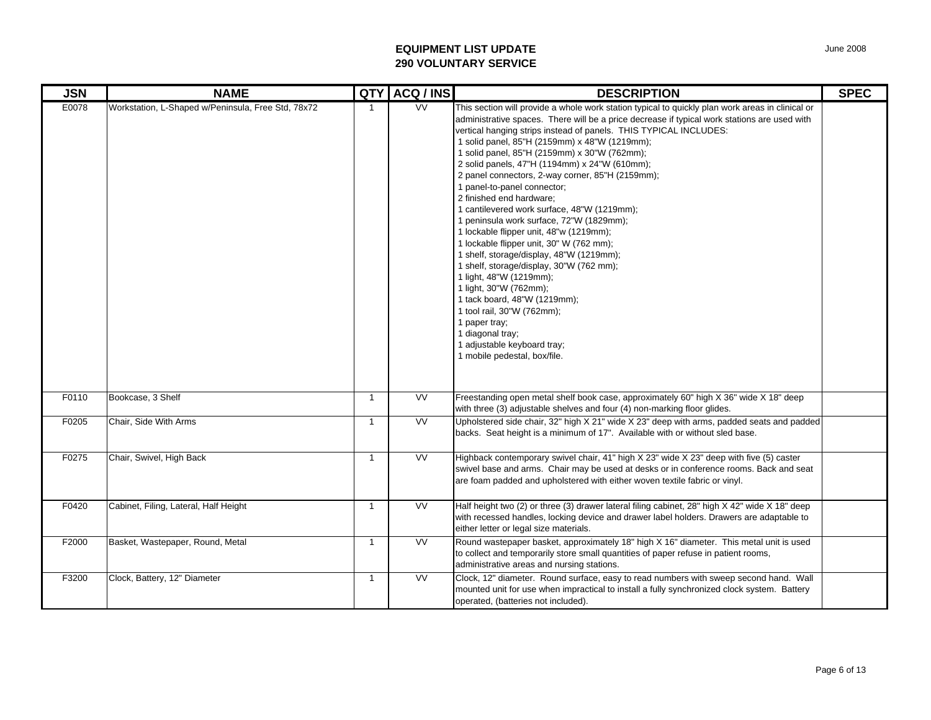| <b>JSN</b> | <b>NAME</b>                                        | QTY          | ACQ / INS              | <b>DESCRIPTION</b>                                                                                                                                                                                                                                                                                                                                                                                                                                                                                                                                                                                                                                                                                                                                                                                                                                                                                                                                                                                                                      | <b>SPEC</b> |
|------------|----------------------------------------------------|--------------|------------------------|-----------------------------------------------------------------------------------------------------------------------------------------------------------------------------------------------------------------------------------------------------------------------------------------------------------------------------------------------------------------------------------------------------------------------------------------------------------------------------------------------------------------------------------------------------------------------------------------------------------------------------------------------------------------------------------------------------------------------------------------------------------------------------------------------------------------------------------------------------------------------------------------------------------------------------------------------------------------------------------------------------------------------------------------|-------------|
| E0078      | Workstation, L-Shaped w/Peninsula, Free Std, 78x72 | $\mathbf{1}$ | $\overline{\text{VV}}$ | This section will provide a whole work station typical to quickly plan work areas in clinical or<br>administrative spaces. There will be a price decrease if typical work stations are used with<br>vertical hanging strips instead of panels. THIS TYPICAL INCLUDES:<br>1 solid panel, 85"H (2159mm) x 48"W (1219mm);<br>1 solid panel, 85"H (2159mm) x 30"W (762mm);<br>2 solid panels, 47"H (1194mm) x 24"W (610mm);<br>2 panel connectors, 2-way corner, 85"H (2159mm);<br>1 panel-to-panel connector;<br>2 finished end hardware;<br>1 cantilevered work surface, 48"W (1219mm);<br>1 peninsula work surface, 72"W (1829mm);<br>1 lockable flipper unit, 48"w (1219mm);<br>1 lockable flipper unit, 30" W (762 mm);<br>1 shelf, storage/display, 48"W (1219mm);<br>1 shelf, storage/display, 30"W (762 mm);<br>1 light, 48"W (1219mm);<br>1 light, 30"W (762mm);<br>1 tack board, 48"W (1219mm);<br>1 tool rail, 30"W (762mm);<br>1 paper tray;<br>1 diagonal tray;<br>1 adjustable keyboard tray;<br>1 mobile pedestal, box/file. |             |
| F0110      | Bookcase, 3 Shelf                                  | $\mathbf{1}$ | <b>VV</b>              | Freestanding open metal shelf book case, approximately 60" high X 36" wide X 18" deep<br>with three (3) adjustable shelves and four (4) non-marking floor glides.                                                                                                                                                                                                                                                                                                                                                                                                                                                                                                                                                                                                                                                                                                                                                                                                                                                                       |             |
| F0205      | Chair, Side With Arms                              | $\mathbf{1}$ | $\overline{\text{VV}}$ | Upholstered side chair, 32" high X 21" wide X 23" deep with arms, padded seats and padded<br>backs. Seat height is a minimum of 17". Available with or without sled base.                                                                                                                                                                                                                                                                                                                                                                                                                                                                                                                                                                                                                                                                                                                                                                                                                                                               |             |
| F0275      | Chair, Swivel, High Back                           | $\mathbf{1}$ | VV                     | Highback contemporary swivel chair, 41" high X 23" wide X 23" deep with five (5) caster<br>swivel base and arms. Chair may be used at desks or in conference rooms. Back and seat<br>are foam padded and upholstered with either woven textile fabric or vinyl.                                                                                                                                                                                                                                                                                                                                                                                                                                                                                                                                                                                                                                                                                                                                                                         |             |
| F0420      | Cabinet, Filing, Lateral, Half Height              | $\mathbf{1}$ | <b>VV</b>              | Half height two (2) or three (3) drawer lateral filing cabinet, 28" high X 42" wide X 18" deep<br>with recessed handles, locking device and drawer label holders. Drawers are adaptable to<br>either letter or legal size materials.                                                                                                                                                                                                                                                                                                                                                                                                                                                                                                                                                                                                                                                                                                                                                                                                    |             |
| F2000      | Basket, Wastepaper, Round, Metal                   | $\mathbf{1}$ | VV                     | Round wastepaper basket, approximately 18" high X 16" diameter. This metal unit is used<br>to collect and temporarily store small quantities of paper refuse in patient rooms,<br>administrative areas and nursing stations.                                                                                                                                                                                                                                                                                                                                                                                                                                                                                                                                                                                                                                                                                                                                                                                                            |             |
| F3200      | Clock, Battery, 12" Diameter                       | $\mathbf{1}$ | <b>VV</b>              | Clock, 12" diameter. Round surface, easy to read numbers with sweep second hand. Wall<br>mounted unit for use when impractical to install a fully synchronized clock system. Battery<br>operated, (batteries not included).                                                                                                                                                                                                                                                                                                                                                                                                                                                                                                                                                                                                                                                                                                                                                                                                             |             |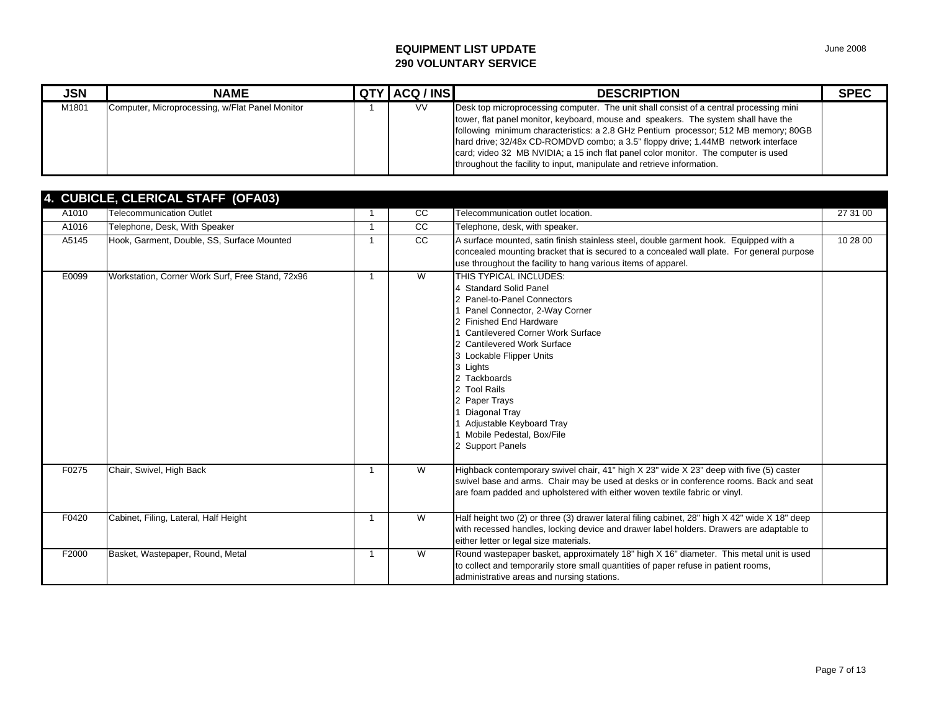| <b>JSN</b> | <b>NAME</b>                                     | <b>QTY ACQ / INS</b> | <b>DESCRIPTION</b>                                                                                                                                                                                                                                                                                                                                                                                                                                                                                                       | <b>SPEC</b> |
|------------|-------------------------------------------------|----------------------|--------------------------------------------------------------------------------------------------------------------------------------------------------------------------------------------------------------------------------------------------------------------------------------------------------------------------------------------------------------------------------------------------------------------------------------------------------------------------------------------------------------------------|-------------|
| M1801      | Computer, Microprocessing, w/Flat Panel Monitor | <b>VV</b>            | Desk top microprocessing computer. The unit shall consist of a central processing mini<br>tower, flat panel monitor, keyboard, mouse and speakers. The system shall have the<br>following minimum characteristics: a 2.8 GHz Pentium processor; 512 MB memory; 80GB<br>hard drive; 32/48x CD-ROMDVD combo; a 3.5" floppy drive; 1.44MB network interface<br>card; video 32 MB NVIDIA; a 15 inch flat panel color monitor. The computer is used<br>throughout the facility to input, manipulate and retrieve information. |             |

|       | 4. CUBICLE, CLERICAL STAFF (OFA03)               |    |    |                                                                                                                                                                                                                                                                                                                                                                                                              |          |
|-------|--------------------------------------------------|----|----|--------------------------------------------------------------------------------------------------------------------------------------------------------------------------------------------------------------------------------------------------------------------------------------------------------------------------------------------------------------------------------------------------------------|----------|
| A1010 | <b>Telecommunication Outlet</b>                  |    | CC | Telecommunication outlet location.                                                                                                                                                                                                                                                                                                                                                                           | 27 31 00 |
| A1016 | Telephone, Desk, With Speaker                    | -1 | cc | Telephone, desk, with speaker.                                                                                                                                                                                                                                                                                                                                                                               |          |
| A5145 | Hook, Garment, Double, SS, Surface Mounted       |    | cc | A surface mounted, satin finish stainless steel, double garment hook. Equipped with a<br>concealed mounting bracket that is secured to a concealed wall plate. For general purpose<br>use throughout the facility to hang various items of apparel.                                                                                                                                                          | 10 28 00 |
| E0099 | Workstation, Corner Work Surf, Free Stand, 72x96 | 1  | W  | THIS TYPICAL INCLUDES:<br>4 Standard Solid Panel<br>2 Panel-to-Panel Connectors<br>Panel Connector, 2-Way Corner<br>2 Finished End Hardware<br><b>Cantilevered Corner Work Surface</b><br>2 Cantilevered Work Surface<br>3 Lockable Flipper Units<br>3 Lights<br>2 Tackboards<br>2 Tool Rails<br>2 Paper Trays<br>Diagonal Tray<br>Adjustable Keyboard Tray<br>Mobile Pedestal, Box/File<br>2 Support Panels |          |
| F0275 | Chair, Swivel, High Back                         |    | W  | Highback contemporary swivel chair, 41" high X 23" wide X 23" deep with five (5) caster<br>swivel base and arms. Chair may be used at desks or in conference rooms. Back and seat<br>are foam padded and upholstered with either woven textile fabric or vinyl.                                                                                                                                              |          |
| F0420 | Cabinet, Filing, Lateral, Half Height            | -1 | W  | Half height two (2) or three (3) drawer lateral filing cabinet, 28" high X 42" wide X 18" deep<br>with recessed handles, locking device and drawer label holders. Drawers are adaptable to<br>either letter or legal size materials.                                                                                                                                                                         |          |
| F2000 | Basket, Wastepaper, Round, Metal                 | -1 | W  | Round wastepaper basket, approximately 18" high X 16" diameter. This metal unit is used<br>to collect and temporarily store small quantities of paper refuse in patient rooms,<br>administrative areas and nursing stations.                                                                                                                                                                                 |          |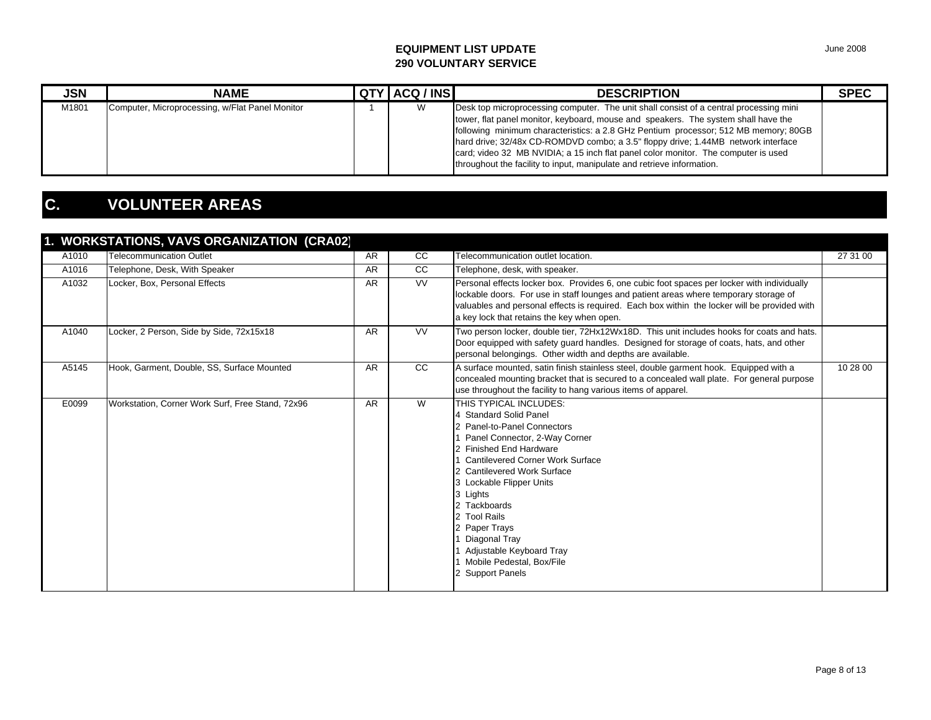| <b>JSN</b> | <b>NAME</b>                                     | QTY ACQ / INS | <b>DESCRIPTION</b>                                                                                                                                                                                                                                                                                                                                                                                                                                                                                                       | <b>SPEC</b> |
|------------|-------------------------------------------------|---------------|--------------------------------------------------------------------------------------------------------------------------------------------------------------------------------------------------------------------------------------------------------------------------------------------------------------------------------------------------------------------------------------------------------------------------------------------------------------------------------------------------------------------------|-------------|
| M1801      | Computer, Microprocessing, w/Flat Panel Monitor |               | Desk top microprocessing computer. The unit shall consist of a central processing mini<br>tower, flat panel monitor, keyboard, mouse and speakers. The system shall have the<br>following minimum characteristics: a 2.8 GHz Pentium processor; 512 MB memory; 80GB<br>hard drive; 32/48x CD-ROMDVD combo; a 3.5" floppy drive; 1.44MB network interface<br>card; video 32 MB NVIDIA; a 15 inch flat panel color monitor. The computer is used<br>throughout the facility to input, manipulate and retrieve information. |             |

## **C. VOLUNTEER AREAS**

| A1010 | <b>Telecommunication Outlet</b>                  | <b>AR</b> | <sub>CC</sub> | Telecommunication outlet location.                                                                                                                                                                                                                                                                                                                                                                             | 27 31 00 |
|-------|--------------------------------------------------|-----------|---------------|----------------------------------------------------------------------------------------------------------------------------------------------------------------------------------------------------------------------------------------------------------------------------------------------------------------------------------------------------------------------------------------------------------------|----------|
| A1016 | Telephone, Desk, With Speaker                    | <b>AR</b> | <sub>CC</sub> | Telephone, desk, with speaker.                                                                                                                                                                                                                                                                                                                                                                                 |          |
| A1032 | Locker, Box, Personal Effects                    | <b>AR</b> | <b>VV</b>     | Personal effects locker box. Provides 6, one cubic foot spaces per locker with individually<br>lockable doors. For use in staff lounges and patient areas where temporary storage of<br>valuables and personal effects is required. Each box within the locker will be provided with<br>a key lock that retains the key when open.                                                                             |          |
| A1040 | Locker, 2 Person, Side by Side, 72x15x18         | AR        | <b>VV</b>     | Two person locker, double tier, 72Hx12Wx18D. This unit includes hooks for coats and hats.<br>Door equipped with safety guard handles. Designed for storage of coats, hats, and other<br>personal belongings. Other width and depths are available.                                                                                                                                                             |          |
| A5145 | Hook, Garment, Double, SS, Surface Mounted       | <b>AR</b> | <sub>CC</sub> | A surface mounted, satin finish stainless steel, double garment hook. Equipped with a<br>concealed mounting bracket that is secured to a concealed wall plate. For general purpose<br>use throughout the facility to hang various items of apparel.                                                                                                                                                            | 10 28 00 |
| E0099 | Workstation, Corner Work Surf, Free Stand, 72x96 | <b>AR</b> | W             | THIS TYPICAL INCLUDES:<br>4 Standard Solid Panel<br>2 Panel-to-Panel Connectors<br>1 Panel Connector, 2-Way Corner<br>2 Finished End Hardware<br><b>Cantilevered Corner Work Surface</b><br>2 Cantilevered Work Surface<br>3 Lockable Flipper Units<br>3 Lights<br>2 Tackboards<br>2 Tool Rails<br>2 Paper Trays<br>Diagonal Tray<br>Adjustable Keyboard Tray<br>Mobile Pedestal, Box/File<br>2 Support Panels |          |

June 2008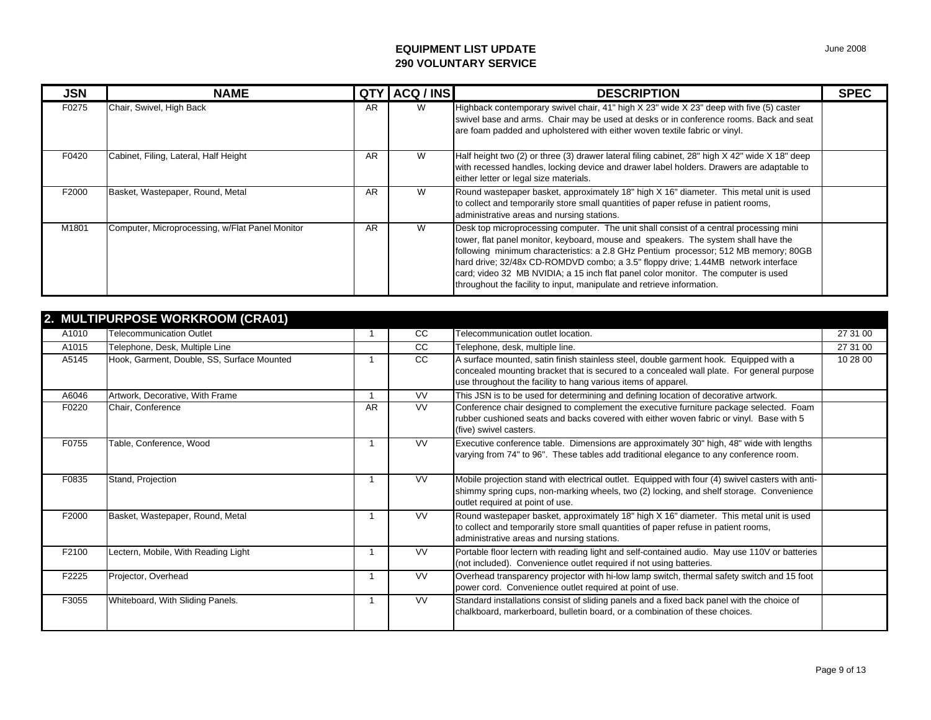| <b>JSN</b> | <b>NAME</b>                                     | <b>QTY</b> | ACQ / INS | <b>DESCRIPTION</b>                                                                                                                                                                                                                                                                                                                                                                                                                                                                                                       | <b>SPEC</b> |
|------------|-------------------------------------------------|------------|-----------|--------------------------------------------------------------------------------------------------------------------------------------------------------------------------------------------------------------------------------------------------------------------------------------------------------------------------------------------------------------------------------------------------------------------------------------------------------------------------------------------------------------------------|-------------|
| F0275      | Chair, Swivel, High Back                        | <b>AR</b>  | W         | Highback contemporary swivel chair, 41" high X 23" wide X 23" deep with five (5) caster<br>swivel base and arms. Chair may be used at desks or in conference rooms. Back and seat<br>are foam padded and upholstered with either woven textile fabric or vinyl.                                                                                                                                                                                                                                                          |             |
| F0420      | Cabinet, Filing, Lateral, Half Height           | <b>AR</b>  | W         | Half height two (2) or three (3) drawer lateral filing cabinet, 28" high X 42" wide X 18" deep<br>with recessed handles, locking device and drawer label holders. Drawers are adaptable to<br>either letter or legal size materials.                                                                                                                                                                                                                                                                                     |             |
| F2000      | Basket, Wastepaper, Round, Metal                | <b>AR</b>  | W         | Round wastepaper basket, approximately 18" high X 16" diameter. This metal unit is used<br>to collect and temporarily store small quantities of paper refuse in patient rooms,<br>administrative areas and nursing stations.                                                                                                                                                                                                                                                                                             |             |
| M1801      | Computer, Microprocessing, w/Flat Panel Monitor | AR         | W         | Desk top microprocessing computer. The unit shall consist of a central processing mini<br>tower, flat panel monitor, keyboard, mouse and speakers. The system shall have the<br>following minimum characteristics: a 2.8 GHz Pentium processor; 512 MB memory; 80GB<br>hard drive; 32/48x CD-ROMDVD combo; a 3.5" floppy drive; 1.44MB network interface<br>card; video 32 MB NVIDIA; a 15 inch flat panel color monitor. The computer is used<br>throughout the facility to input, manipulate and retrieve information. |             |

|       | 2. MULTIPURPOSE WORKROOM (CRA01)           |           |               |                                                                                                                                                                                                                                                     |          |
|-------|--------------------------------------------|-----------|---------------|-----------------------------------------------------------------------------------------------------------------------------------------------------------------------------------------------------------------------------------------------------|----------|
| A1010 | <b>Telecommunication Outlet</b>            |           | <b>CC</b>     | Telecommunication outlet location.                                                                                                                                                                                                                  | 27 31 00 |
| A1015 | Telephone, Desk, Multiple Line             |           | <sub>CC</sub> | Telephone, desk, multiple line.                                                                                                                                                                                                                     | 27 31 00 |
| A5145 | Hook, Garment, Double, SS, Surface Mounted |           | <sub>CC</sub> | A surface mounted, satin finish stainless steel, double garment hook. Equipped with a<br>concealed mounting bracket that is secured to a concealed wall plate. For general purpose<br>use throughout the facility to hang various items of apparel. | 10 28 00 |
| A6046 | Artwork, Decorative, With Frame            |           | <b>VV</b>     | This JSN is to be used for determining and defining location of decorative artwork.                                                                                                                                                                 |          |
| F0220 | Chair, Conference                          | <b>AR</b> | <b>VV</b>     | Conference chair designed to complement the executive furniture package selected. Foam<br>rubber cushioned seats and backs covered with either woven fabric or vinyl. Base with 5<br>(five) swivel casters.                                         |          |
| F0755 | Table, Conference, Wood                    |           | <b>VV</b>     | Executive conference table. Dimensions are approximately 30" high, 48" wide with lengths<br>varying from 74" to 96". These tables add traditional elegance to any conference room.                                                                  |          |
| F0835 | Stand, Projection                          |           | <b>VV</b>     | Mobile projection stand with electrical outlet. Equipped with four (4) swivel casters with anti-<br>shimmy spring cups, non-marking wheels, two (2) locking, and shelf storage. Convenience<br>outlet required at point of use.                     |          |
| F2000 | Basket, Wastepaper, Round, Metal           |           | <b>VV</b>     | Round wastepaper basket, approximately 18" high X 16" diameter. This metal unit is used<br>to collect and temporarily store small quantities of paper refuse in patient rooms,<br>administrative areas and nursing stations.                        |          |
| F2100 | Lectern, Mobile, With Reading Light        |           | <b>VV</b>     | Portable floor lectern with reading light and self-contained audio. May use 110V or batteries<br>(not included). Convenience outlet required if not using batteries.                                                                                |          |
| F2225 | Projector, Overhead                        |           | <b>VV</b>     | Overhead transparency projector with hi-low lamp switch, thermal safety switch and 15 foot<br>power cord. Convenience outlet required at point of use.                                                                                              |          |
| F3055 | Whiteboard, With Sliding Panels.           |           | <b>VV</b>     | Standard installations consist of sliding panels and a fixed back panel with the choice of<br>chalkboard, markerboard, bulletin board, or a combination of these choices.                                                                           |          |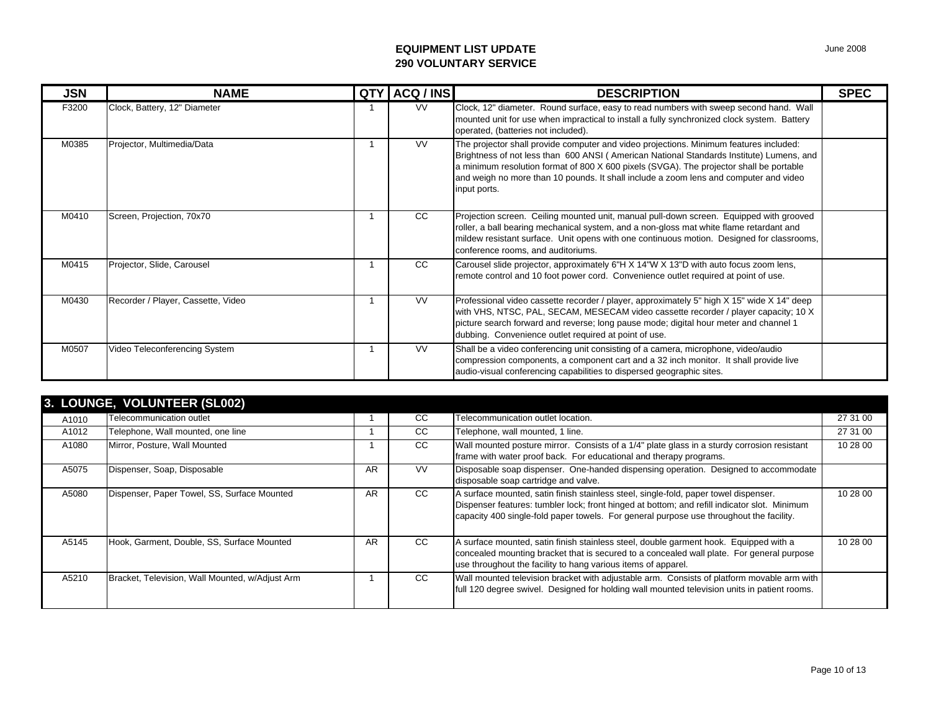| <b>JSN</b> | <b>NAME</b>                        | QTY ACQ / INS | <b>DESCRIPTION</b>                                                                                                                                                                                                                                                                                                                                                                     | <b>SPEC</b> |
|------------|------------------------------------|---------------|----------------------------------------------------------------------------------------------------------------------------------------------------------------------------------------------------------------------------------------------------------------------------------------------------------------------------------------------------------------------------------------|-------------|
| F3200      | Clock, Battery, 12" Diameter       | <b>VV</b>     | Clock, 12" diameter. Round surface, easy to read numbers with sweep second hand. Wall<br>mounted unit for use when impractical to install a fully synchronized clock system. Battery<br>operated, (batteries not included).                                                                                                                                                            |             |
| M0385      | Projector, Multimedia/Data         | VV.           | The projector shall provide computer and video projections. Minimum features included:<br>Brightness of not less than 600 ANSI (American National Standards Institute) Lumens, and<br>a minimum resolution format of 800 X 600 pixels (SVGA). The projector shall be portable<br>and weigh no more than 10 pounds. It shall include a zoom lens and computer and video<br>input ports. |             |
| M0410      | Screen, Projection, 70x70          | CC.           | Projection screen. Ceiling mounted unit, manual pull-down screen. Equipped with grooved<br>roller, a ball bearing mechanical system, and a non-gloss mat white flame retardant and<br>mildew resistant surface. Unit opens with one continuous motion. Designed for classrooms,<br>conference rooms, and auditoriums.                                                                  |             |
| M0415      | Projector, Slide, Carousel         | CC            | Carousel slide projector, approximately 6"H X 14"W X 13"D with auto focus zoom lens,<br>remote control and 10 foot power cord. Convenience outlet required at point of use.                                                                                                                                                                                                            |             |
| M0430      | Recorder / Player, Cassette, Video | <b>VV</b>     | Professional video cassette recorder / player, approximately 5" high X 15" wide X 14" deep<br>with VHS, NTSC, PAL, SECAM, MESECAM video cassette recorder / player capacity; 10 X<br>picture search forward and reverse; long pause mode; digital hour meter and channel 1<br>dubbing. Convenience outlet required at point of use.                                                    |             |
| M0507      | Video Teleconferencing System      | <b>VV</b>     | Shall be a video conferencing unit consisting of a camera, microphone, video/audio<br>compression components, a component cart and a 32 inch monitor. It shall provide live<br>audio-visual conferencing capabilities to dispersed geographic sites.                                                                                                                                   |             |

| 3. LOUNGE, VOLUNTEER (SL002) |                                                 |    |           |                                                                                                                                                                                                                                                                                 |          |  |  |
|------------------------------|-------------------------------------------------|----|-----------|---------------------------------------------------------------------------------------------------------------------------------------------------------------------------------------------------------------------------------------------------------------------------------|----------|--|--|
| A1010                        | Telecommunication outlet                        |    | CC.       | Telecommunication outlet location.                                                                                                                                                                                                                                              | 27 31 00 |  |  |
| A1012                        | Telephone, Wall mounted, one line               |    | CC        | Telephone, wall mounted, 1 line.                                                                                                                                                                                                                                                | 27 31 00 |  |  |
| A1080                        | Mirror, Posture, Wall Mounted                   |    | CC.       | Wall mounted posture mirror. Consists of a 1/4" plate glass in a sturdy corrosion resistant<br>frame with water proof back. For educational and therapy programs.                                                                                                               | 10 28 00 |  |  |
| A5075                        | Dispenser, Soap, Disposable                     | AR | <b>VV</b> | Disposable soap dispenser. One-handed dispensing operation. Designed to accommodate<br>disposable soap cartridge and valve.                                                                                                                                                     |          |  |  |
| A5080                        | Dispenser, Paper Towel, SS, Surface Mounted     | AR | CC        | A surface mounted, satin finish stainless steel, single-fold, paper towel dispenser.<br>Dispenser features: tumbler lock; front hinged at bottom; and refill indicator slot. Minimum<br>capacity 400 single-fold paper towels. For general purpose use throughout the facility. | 10 28 00 |  |  |
| A5145                        | Hook, Garment, Double, SS, Surface Mounted      | AR | CC        | A surface mounted, satin finish stainless steel, double garment hook. Equipped with a<br>concealed mounting bracket that is secured to a concealed wall plate. For general purpose<br>use throughout the facility to hang various items of apparel.                             | 10 28 00 |  |  |
| A5210                        | Bracket, Television, Wall Mounted, w/Adjust Arm |    | CC        | Wall mounted television bracket with adjustable arm. Consists of platform movable arm with<br>full 120 degree swivel. Designed for holding wall mounted television units in patient rooms.                                                                                      |          |  |  |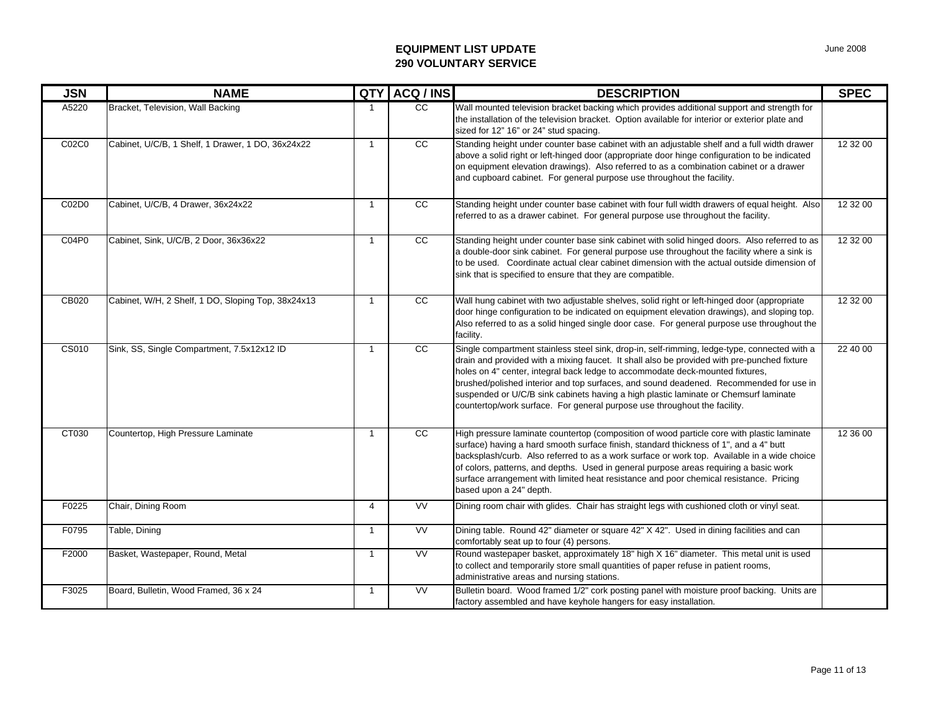| <b>JSN</b>   | <b>NAME</b>                                        | QTY            | ACQ / INS       | <b>DESCRIPTION</b>                                                                                                                                                                                                                                                                                                                                                                                                                                                                                                                          | <b>SPEC</b> |
|--------------|----------------------------------------------------|----------------|-----------------|---------------------------------------------------------------------------------------------------------------------------------------------------------------------------------------------------------------------------------------------------------------------------------------------------------------------------------------------------------------------------------------------------------------------------------------------------------------------------------------------------------------------------------------------|-------------|
| A5220        | Bracket, Television, Wall Backing                  | -1             | $\overline{cc}$ | Wall mounted television bracket backing which provides additional support and strength for<br>the installation of the television bracket. Option available for interior or exterior plate and<br>sized for 12" 16" or 24" stud spacing.                                                                                                                                                                                                                                                                                                     |             |
| C02C0        | Cabinet, U/C/B, 1 Shelf, 1 Drawer, 1 DO, 36x24x22  | $\mathbf{1}$   | cc              | Standing height under counter base cabinet with an adjustable shelf and a full width drawer<br>above a solid right or left-hinged door (appropriate door hinge configuration to be indicated<br>on equipment elevation drawings). Also referred to as a combination cabinet or a drawer<br>and cupboard cabinet. For general purpose use throughout the facility.                                                                                                                                                                           | 12 32 00    |
| C02D0        | Cabinet, U/C/B, 4 Drawer, 36x24x22                 | $\overline{1}$ | cc              | Standing height under counter base cabinet with four full width drawers of equal height. Also<br>referred to as a drawer cabinet. For general purpose use throughout the facility.                                                                                                                                                                                                                                                                                                                                                          | 12 32 00    |
| C04P0        | Cabinet, Sink, U/C/B, 2 Door, 36x36x22             | $\overline{1}$ | cc              | Standing height under counter base sink cabinet with solid hinged doors. Also referred to as<br>a double-door sink cabinet. For general purpose use throughout the facility where a sink is<br>to be used. Coordinate actual clear cabinet dimension with the actual outside dimension of<br>sink that is specified to ensure that they are compatible.                                                                                                                                                                                     | 12 32 00    |
| CB020        | Cabinet, W/H, 2 Shelf, 1 DO, Sloping Top, 38x24x13 | $\overline{1}$ | $\overline{cc}$ | Wall hung cabinet with two adjustable shelves, solid right or left-hinged door (appropriate<br>door hinge configuration to be indicated on equipment elevation drawings), and sloping top.<br>Also referred to as a solid hinged single door case. For general purpose use throughout the<br>facility.                                                                                                                                                                                                                                      | 12 32 00    |
| <b>CS010</b> | Sink, SS, Single Compartment, 7.5x12x12 ID         | $\overline{1}$ | $\overline{cc}$ | Single compartment stainless steel sink, drop-in, self-rimming, ledge-type, connected with a<br>drain and provided with a mixing faucet. It shall also be provided with pre-punched fixture<br>holes on 4" center, integral back ledge to accommodate deck-mounted fixtures,<br>brushed/polished interior and top surfaces, and sound deadened. Recommended for use in<br>suspended or U/C/B sink cabinets having a high plastic laminate or Chemsurf laminate<br>countertop/work surface. For general purpose use throughout the facility. | 22 40 00    |
| CT030        | Countertop, High Pressure Laminate                 | $\overline{1}$ | $\overline{cc}$ | High pressure laminate countertop (composition of wood particle core with plastic laminate<br>surface) having a hard smooth surface finish, standard thickness of 1", and a 4" butt<br>backsplash/curb. Also referred to as a work surface or work top. Available in a wide choice<br>of colors, patterns, and depths. Used in general purpose areas requiring a basic work<br>surface arrangement with limited heat resistance and poor chemical resistance. Pricing<br>based upon a 24" depth.                                            | 12 36 00    |
| F0225        | Chair, Dining Room                                 | $\overline{4}$ | <b>VV</b>       | Dining room chair with glides. Chair has straight legs with cushioned cloth or vinyl seat.                                                                                                                                                                                                                                                                                                                                                                                                                                                  |             |
| F0795        | Table, Dining                                      | $\overline{1}$ | W               | Dining table. Round 42" diameter or square 42" X 42". Used in dining facilities and can<br>comfortably seat up to four (4) persons.                                                                                                                                                                                                                                                                                                                                                                                                         |             |
| F2000        | Basket, Wastepaper, Round, Metal                   | $\overline{1}$ | <b>VV</b>       | Round wastepaper basket, approximately 18" high X 16" diameter. This metal unit is used<br>to collect and temporarily store small quantities of paper refuse in patient rooms,<br>administrative areas and nursing stations.                                                                                                                                                                                                                                                                                                                |             |
| F3025        | Board, Bulletin, Wood Framed, 36 x 24              | $\overline{1}$ | <b>VV</b>       | Bulletin board. Wood framed 1/2" cork posting panel with moisture proof backing. Units are<br>factory assembled and have keyhole hangers for easy installation.                                                                                                                                                                                                                                                                                                                                                                             |             |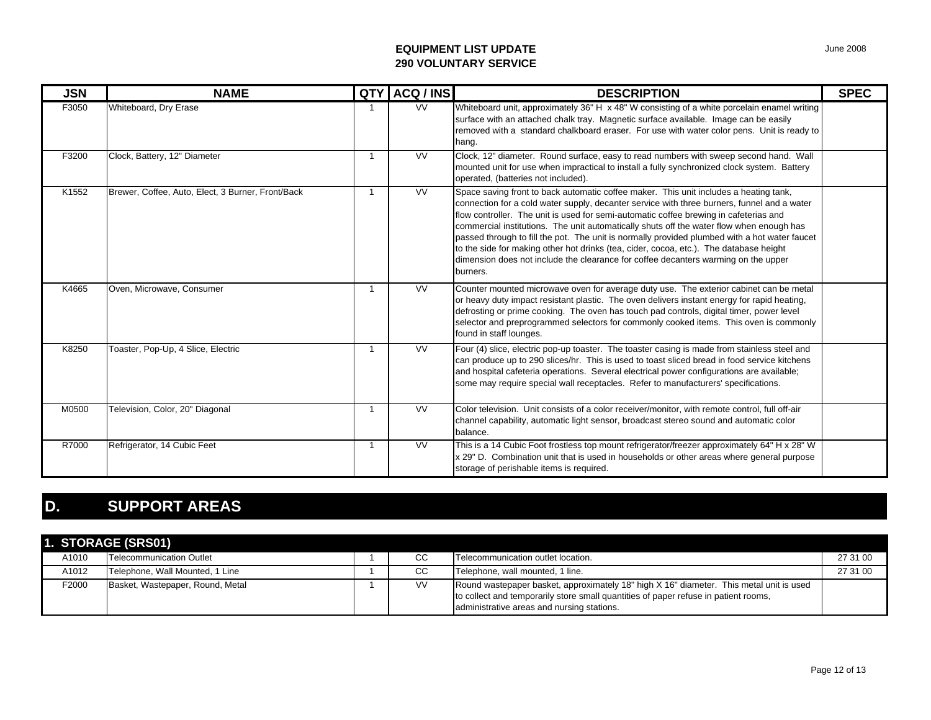| <b>JSN</b> | <b>NAME</b>                                       | QTY | ACQ / INS              | <b>DESCRIPTION</b>                                                                                                                                                                                                                                                                                                                                                                                                                                                                                                                                                                                                                                                     | <b>SPEC</b> |
|------------|---------------------------------------------------|-----|------------------------|------------------------------------------------------------------------------------------------------------------------------------------------------------------------------------------------------------------------------------------------------------------------------------------------------------------------------------------------------------------------------------------------------------------------------------------------------------------------------------------------------------------------------------------------------------------------------------------------------------------------------------------------------------------------|-------------|
| F3050      | Whiteboard, Dry Erase                             |     | <b>VV</b>              | Whiteboard unit, approximately 36" H x 48" W consisting of a white porcelain enamel writing<br>surface with an attached chalk tray. Magnetic surface available. Image can be easily<br>removed with a standard chalkboard eraser. For use with water color pens. Unit is ready to<br>hang.                                                                                                                                                                                                                                                                                                                                                                             |             |
| F3200      | Clock, Battery, 12" Diameter                      |     | $\overline{\text{VV}}$ | Clock, 12" diameter. Round surface, easy to read numbers with sweep second hand. Wall<br>mounted unit for use when impractical to install a fully synchronized clock system. Battery<br>operated, (batteries not included).                                                                                                                                                                                                                                                                                                                                                                                                                                            |             |
| K1552      | Brewer, Coffee, Auto, Elect, 3 Burner, Front/Back |     | <b>VV</b>              | Space saving front to back automatic coffee maker. This unit includes a heating tank,<br>connection for a cold water supply, decanter service with three burners, funnel and a water<br>flow controller. The unit is used for semi-automatic coffee brewing in cafeterias and<br>commercial institutions. The unit automatically shuts off the water flow when enough has<br>passed through to fill the pot. The unit is normally provided plumbed with a hot water faucet<br>to the side for making other hot drinks (tea, cider, cocoa, etc.). The database height<br>dimension does not include the clearance for coffee decanters warming on the upper<br>burners. |             |
| K4665      | Oven, Microwave, Consumer                         |     | W                      | Counter mounted microwave oven for average duty use. The exterior cabinet can be metal<br>or heavy duty impact resistant plastic. The oven delivers instant energy for rapid heating,<br>defrosting or prime cooking. The oven has touch pad controls, digital timer, power level<br>selector and preprogrammed selectors for commonly cooked items. This oven is commonly<br>found in staff lounges.                                                                                                                                                                                                                                                                  |             |
| K8250      | Toaster, Pop-Up, 4 Slice, Electric                |     | <b>VV</b>              | Four (4) slice, electric pop-up toaster. The toaster casing is made from stainless steel and<br>can produce up to 290 slices/hr. This is used to toast sliced bread in food service kitchens<br>and hospital cafeteria operations. Several electrical power configurations are available;<br>some may require special wall receptacles. Refer to manufacturers' specifications.                                                                                                                                                                                                                                                                                        |             |
| M0500      | Television, Color, 20" Diagonal                   |     | W                      | Color television. Unit consists of a color receiver/monitor, with remote control, full off-air<br>channel capability, automatic light sensor, broadcast stereo sound and automatic color<br>balance.                                                                                                                                                                                                                                                                                                                                                                                                                                                                   |             |
| R7000      | Refrigerator, 14 Cubic Feet                       |     | <b>VV</b>              | This is a 14 Cubic Foot frostless top mount refrigerator/freezer approximately 64" H x 28" W<br>x 29" D. Combination unit that is used in households or other areas where general purpose<br>storage of perishable items is required.                                                                                                                                                                                                                                                                                                                                                                                                                                  |             |

# **D. SUPPORT AREAS**

|       | 1. STORAGE (SRS01)               |           |                                                                                                                                                                                                                              |          |
|-------|----------------------------------|-----------|------------------------------------------------------------------------------------------------------------------------------------------------------------------------------------------------------------------------------|----------|
| A1010 | Telecommunication Outlet         | CС        | Telecommunication outlet location.                                                                                                                                                                                           | 27 31 00 |
| A1012 | Telephone, Wall Mounted, 1 Line  | CС        | Telephone, wall mounted, 1 line.                                                                                                                                                                                             | 27 31 00 |
| F2000 | Basket, Wastepaper, Round, Metal | <b>VV</b> | Round wastepaper basket, approximately 18" high X 16" diameter. This metal unit is used<br>to collect and temporarily store small quantities of paper refuse in patient rooms,<br>administrative areas and nursing stations. |          |